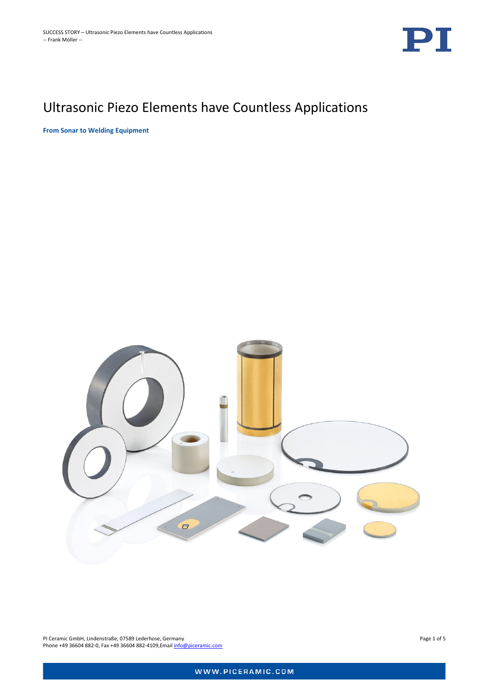

# Ultrasonic Piezo Elements have Countless Applications

**From Sonar to Welding Equipment**



PI Ceramic GmbH, Lindenstraße, 07589 Lederhose, Germany Page 1 of 5 Phone +49 36604 882-0, Fax +49 36604 882-4109, Email [info@piceramic.com](mailto:info@piceramic.com)

WWW.PICERAMIC.COM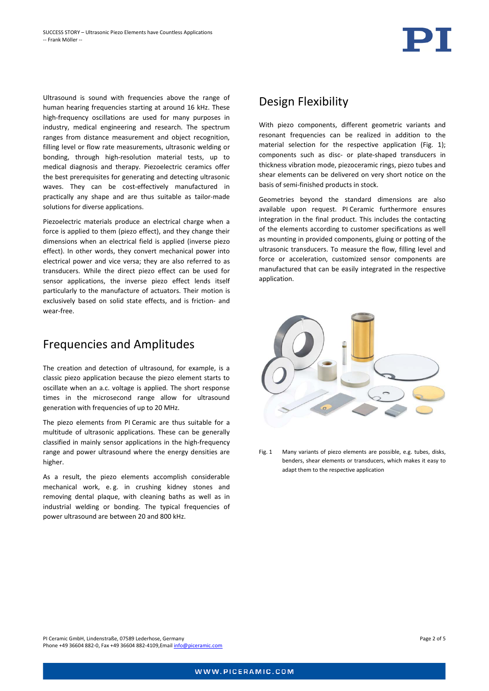Ultrasound is sound with frequencies above the range of human hearing frequencies starting at around 16 kHz. These high-frequency oscillations are used for many purposes in industry, medical engineering and research. The spectrum ranges from distance measurement and object recognition, filling level or flow rate measurements, ultrasonic welding or bonding, through high-resolution material tests, up to medical diagnosis and therapy. Piezoelectric ceramics offer the best prerequisites for generating and detecting ultrasonic waves. They can be cost-effectively manufactured in practically any shape and are thus suitable as tailor-made solutions for diverse applications.

Piezoelectric materials produce an electrical charge when a force is applied to them (piezo effect), and they change their dimensions when an electrical field is applied (inverse piezo effect). In other words, they convert mechanical power into electrical power and vice versa; they are also referred to as transducers. While the direct piezo effect can be used for sensor applications, the inverse piezo effect lends itself particularly to the manufacture of actuators. Their motion is exclusively based on solid state effects, and is friction- and wear-free.

#### Frequencies and Amplitudes

The creation and detection of ultrasound, for example, is a classic piezo application because the piezo element starts to oscillate when an a.c. voltage is applied. The short response times in the microsecond range allow for ultrasound generation with frequencies of up to 20 MHz.

The piezo elements from PI Ceramic are thus suitable for a multitude of ultrasonic applications. These can be generally classified in mainly sensor applications in the high-frequency range and power ultrasound where the energy densities are higher.

As a result, the piezo elements accomplish considerable mechanical work, e. g. in crushing kidney stones and removing dental plaque, with cleaning baths as well as in industrial welding or bonding. The typical frequencies of power ultrasound are between 20 and 800 kHz.

Phone +49 36604 882-0, Fax +49 36604 882-4109,Email [info@piceramic.com](mailto:info@piceramic.com)



With piezo components, different geometric variants and resonant frequencies can be realized in addition to the material selection for the respective application [\(Fig. 1\)](#page-1-0); components such as disc- or plate-shaped transducers in thickness vibration mode, piezoceramic rings, piezo tubes and shear elements can be delivered on very short notice on the basis of semi-finished products in stock.

Geometries beyond the standard dimensions are also available upon request. PI Ceramic furthermore ensures integration in the final product. This includes the contacting of the elements according to customer specifications as well as mounting in provided components, gluing or potting of the ultrasonic transducers. To measure the flow, filling level and force or acceleration, customized sensor components are manufactured that can be easily integrated in the respective application.

<span id="page-1-0"></span>

Fig. 1 Many variants of piezo elements are possible, e.g. tubes, disks, benders, shear elements or transducers, which makes it easy to adapt them to the respective application

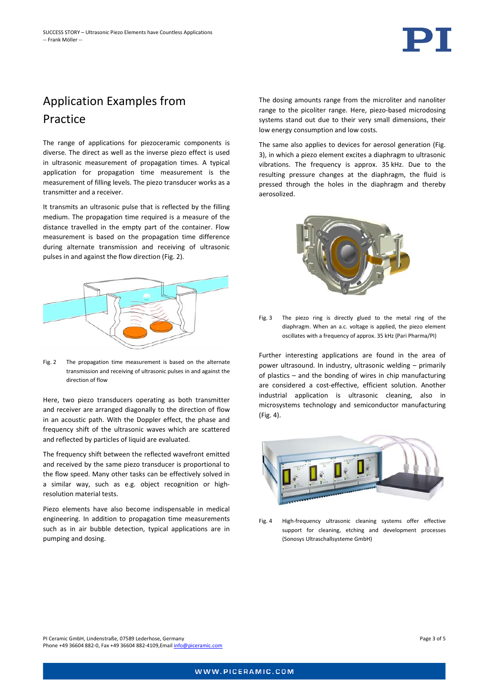

## Application Examples from Practice

The range of applications for piezoceramic components is diverse. The direct as well as the inverse piezo effect is used in ultrasonic measurement of propagation times. A typical application for propagation time measurement is the measurement of filling levels. The piezo transducer works as a transmitter and a receiver.

It transmits an ultrasonic pulse that is reflected by the filling medium. The propagation time required is a measure of the distance travelled in the empty part of the container. Flow measurement is based on the propagation time difference during alternate transmission and receiving of ultrasonic pulses in and against the flow direction [\(Fig. 2\)](#page-2-0).



<span id="page-2-0"></span>Fig. 2 The propagation time measurement is based on the alternate transmission and receiving of ultrasonic pulses in and against the direction of flow

Here, two piezo transducers operating as both transmitter and receiver are arranged diagonally to the direction of flow in an acoustic path. With the Doppler effect, the phase and frequency shift of the ultrasonic waves which are scattered and reflected by particles of liquid are evaluated.

The frequency shift between the reflected wavefront emitted and received by the same piezo transducer is proportional to the flow speed. Many other tasks can be effectively solved in a similar way, such as e.g. object recognition or highresolution material tests.

Piezo elements have also become indispensable in medical engineering. In addition to propagation time measurements such as in air bubble detection, typical applications are in pumping and dosing.

The dosing amounts range from the microliter and nanoliter range to the picoliter range. Here, piezo-based microdosing systems stand out due to their very small dimensions, their low energy consumption and low costs.

The same also applies to devices for aerosol generation (Fig. 3), in which a piezo element excites a diaphragm to ultrasonic vibrations. The frequency is approx. 35 kHz. Due to the resulting pressure changes at the diaphragm, the fluid is pressed through the holes in the diaphragm and thereby aerosolized.



Fig. 3 The piezo ring is directly glued to the metal ring of the diaphragm. When an a.c. voltage is applied, the piezo element oscillates with a frequency of approx. 35 kHz (Pari Pharma/PI)

Further interesting applications are found in the area of power ultrasound. In industry, ultrasonic welding – primarily of plastics – and the bonding of wires in chip manufacturing are considered a cost-effective, efficient solution. Another industrial application is ultrasonic cleaning, also in microsystems technology and semiconductor manufacturing [\(Fig. 4\)](#page-2-1).

<span id="page-2-1"></span>

Fig. 4 High-frequency ultrasonic cleaning systems offer effective support for cleaning, etching and development processes (Sonosys Ultraschallsysteme GmbH)

PI Ceramic GmbH, Lindenstraße, 07589 Lederhose, Germany Page 3 of 5 Phone +49 36604 882-0, Fax +49 36604 882-4109,Email [info@piceramic.com](mailto:info@piceramic.com)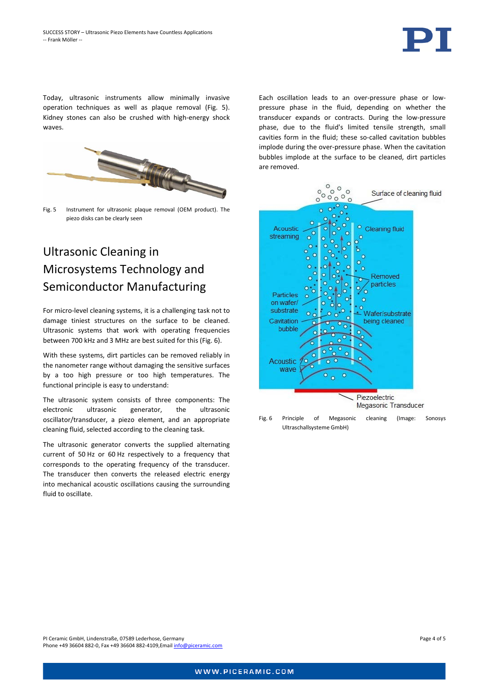

Today, ultrasonic instruments allow minimally invasive operation techniques as well as plaque removal [\(Fig. 5\)](#page-3-0). Kidney stones can also be crushed with high-energy shock waves.



Fig. 5 Instrument for ultrasonic plaque removal (OEM product). The piezo disks can be clearly seen

## <span id="page-3-0"></span>Ultrasonic Cleaning in Microsystems Technology and Semiconductor Manufacturing

For micro-level cleaning systems, it is a challenging task not to damage tiniest structures on the surface to be cleaned. Ultrasonic systems that work with operating frequencies between 700 kHz and 3 MHz are best suited for this [\(Fig. 6\)](#page-3-1).

With these systems, dirt particles can be removed reliably in the nanometer range without damaging the sensitive surfaces by a too high pressure or too high temperatures. The functional principle is easy to understand:

The ultrasonic system consists of three components: The electronic ultrasonic generator, the ultrasonic oscillator/transducer, a piezo element, and an appropriate cleaning fluid, selected according to the cleaning task.

The ultrasonic generator converts the supplied alternating current of 50 Hz or 60 Hz respectively to a frequency that corresponds to the operating frequency of the transducer. The transducer then converts the released electric energy into mechanical acoustic oscillations causing the surrounding fluid to oscillate.

Each oscillation leads to an over-pressure phase or lowpressure phase in the fluid, depending on whether the transducer expands or contracts. During the low-pressure phase, due to the fluid's limited tensile strength, small cavities form in the fluid; these so-called cavitation bubbles implode during the over-pressure phase. When the cavitation bubbles implode at the surface to be cleaned, dirt particles are removed.



<span id="page-3-1"></span>Fig. 6 Principle of Megasonic cleaning (Image: Sonosys Ultraschallsysteme GmbH)